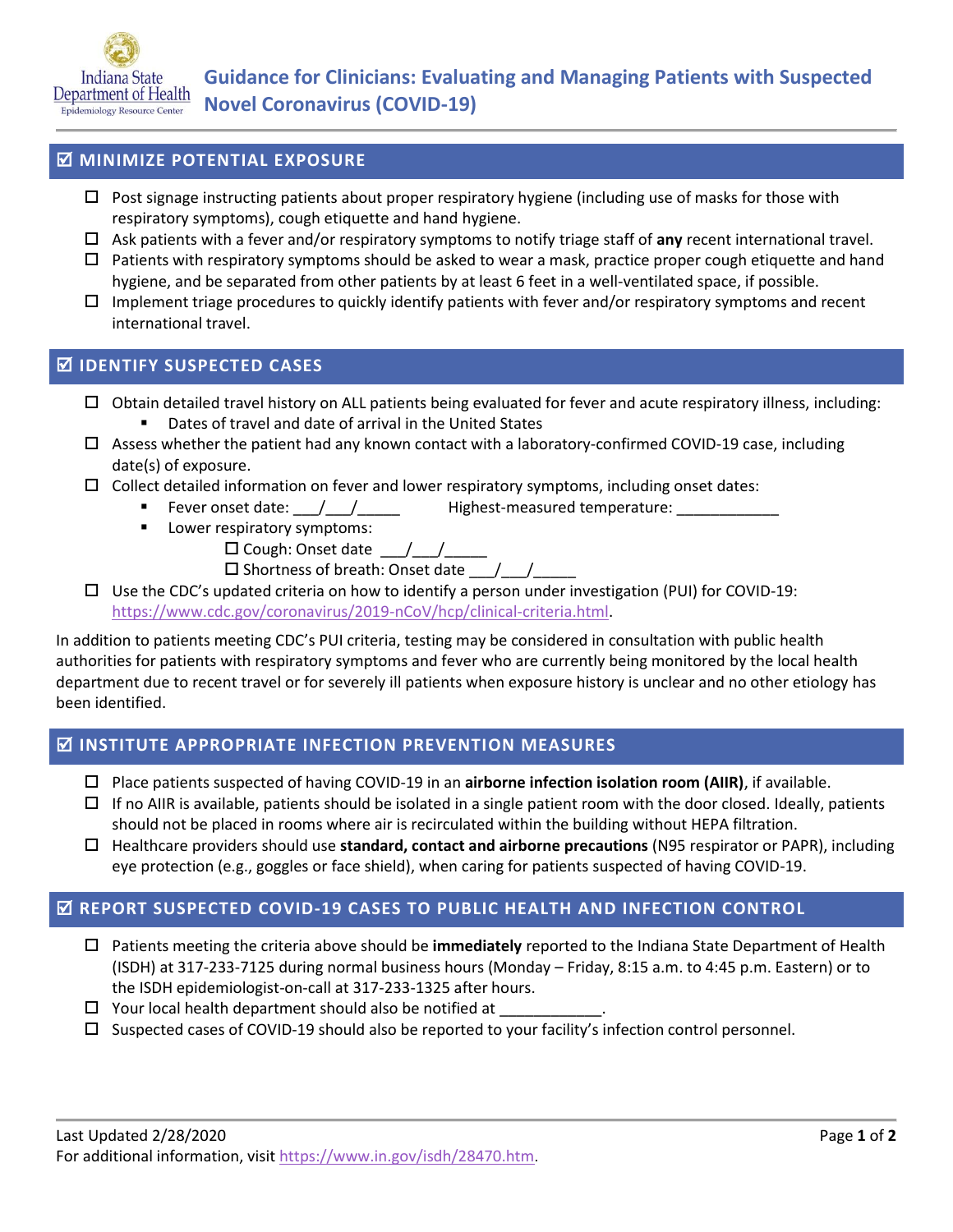

## **MINIMIZE POTENTIAL EXPOSURE**

- $\Box$  Post signage instructing patients about proper respiratory hygiene (including use of masks for those with respiratory symptoms), cough etiquette and hand hygiene.
- Ask patients with a fever and/or respiratory symptoms to notify triage staff of **any** recent international travel.
- Patients with respiratory symptoms should be asked to wear a mask, practice proper cough etiquette and hand hygiene, and be separated from other patients by at least 6 feet in a well-ventilated space, if possible.
- $\Box$  Implement triage procedures to quickly identify patients with fever and/or respiratory symptoms and recent international travel.

## **IDENTIFY SUSPECTED CASES**

- $\Box$  Obtain detailed travel history on ALL patients being evaluated for fever and acute respiratory illness, including:
	- Dates of travel and date of arrival in the United States
- $\Box$  Assess whether the patient had any known contact with a laboratory-confirmed COVID-19 case, including date(s) of exposure.
- $\Box$  Collect detailed information on fever and lower respiratory symptoms, including onset dates:
	- Fever onset date:  $\frac{1}{2}$  /  $\frac{1}{2}$  Highest-measured temperature:
		- **Lower respiratory symptoms:** 
			- $\square$  Cough: Onset date  $\qquad / \qquad /$
			- $\square$  Shortness of breath: Onset date  $\qquad / \qquad /$
- $\Box$  Use the CDC's updated criteria on how to identify a person under investigation (PUI) for COVID-19: [https://www.cdc.gov/coronavirus/2019-nCoV/hcp/clinical-criteria.html.](https://www.cdc.gov/coronavirus/2019-nCoV/hcp/clinical-criteria.html)

In addition to patients meeting CDC's PUI criteria, testing may be considered in consultation with public health authorities for patients with respiratory symptoms and fever who are currently being monitored by the local health department due to recent travel or for severely ill patients when exposure history is unclear and no other etiology has been identified.

### **INSTITUTE APPROPRIATE INFECTION PREVENTION MEASURES**

- Place patients suspected of having COVID-19 in an **airborne infection isolation room (AIIR)**, if available.
- $\Box$  If no AIIR is available, patients should be isolated in a single patient room with the door closed. Ideally, patients should not be placed in rooms where air is recirculated within the building without HEPA filtration.
- Healthcare providers should use **standard, contact and airborne precautions** (N95 respirator or PAPR), including eye protection (e.g., goggles or face shield), when caring for patients suspected of having COVID-19.

### **REPORT SUSPECTED COVID-19 CASES TO PUBLIC HEALTH AND INFECTION CONTROL**

- Patients meeting the criteria above should be **immediately** reported to the Indiana State Department of Health (ISDH) at 317-233-7125 during normal business hours (Monday – Friday, 8:15 a.m. to 4:45 p.m. Eastern) or to the ISDH epidemiologist-on-call at 317-233-1325 after hours.
- $\Box$  Your local health department should also be notified at
- $\square$  Suspected cases of COVID-19 should also be reported to your facility's infection control personnel.